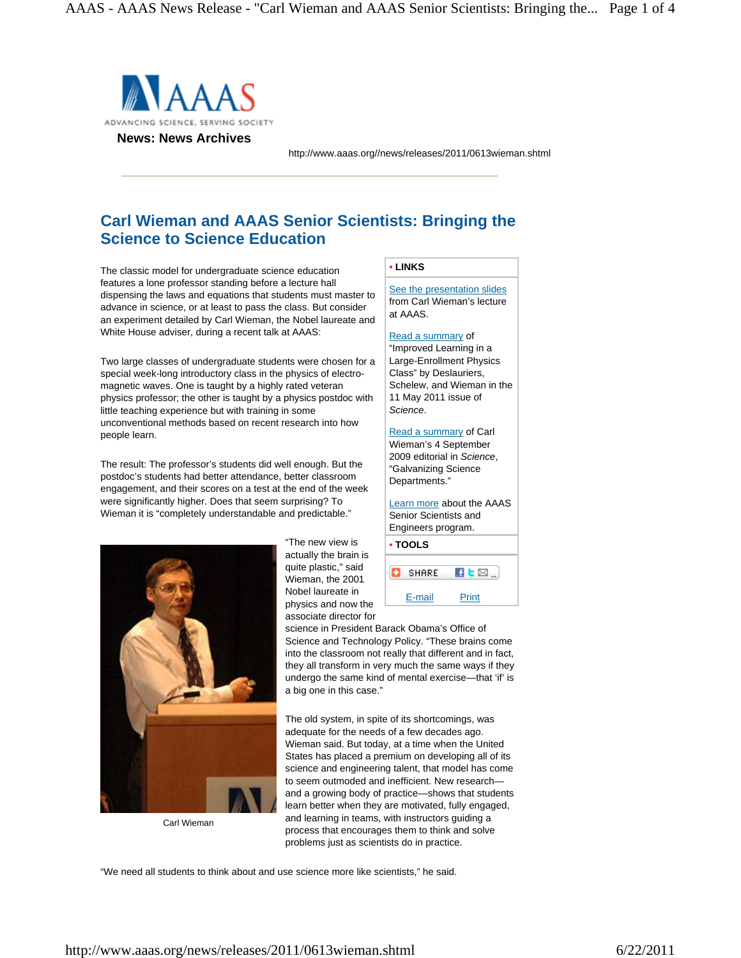

http://www.aaas.org//news/releases/2011/0613wieman.shtml

# **Carl Wieman and AAAS Senior Scientists: Bringing the Science to Science Education**

The classic model for undergraduate science education features a lone professor standing before a lecture hall dispensing the laws and equations that students must master to advance in science, or at least to pass the class. But consider an experiment detailed by Carl Wieman, the Nobel laureate and White House adviser, during a recent talk at AAAS:

Two large classes of undergraduate students were chosen for a special week-long introductory class in the physics of electromagnetic waves. One is taught by a highly rated veteran physics professor; the other is taught by a physics postdoc with little teaching experience but with training in some unconventional methods based on recent research into how people learn.

The result: The professor's students did well enough. But the postdoc's students had better attendance, better classroom engagement, and their scores on a test at the end of the week were significantly higher. Does that seem surprising? To Wieman it is "completely understandable and predictable."



Carl Wieman

"The new view is actually the brain is quite plastic," said Wieman, the 2001 Nobel laureate in physics and now the associate director for

# **• LINKS**

[See the presentation slides](http://www.aaas.org/news/releases/2011/media/0613wieman_presentation.pdf) from Carl Wieman's lecture at AAAS.

# [Read a summary o](http://www.sciencemag.org/content/332/6031/862.abstract)f "Improved Learning in a

Large-Enrollment Physics Class" by Deslauriers, Schelew, and Wieman in the 11 May 2011 issue of *Science*.

[Read a summa](http://www.sciencemag.org/content/325/5945/1181.summary)ry of Carl Wieman's 4 September 2009 editorial in *Science*, "Galvanizing Science Departments."

[Learn more a](http://www.aaas.org/programs/education/SSE/)bout the AAAS Senior Scientists and Engineers program.

| • TOOLS      |       |
|--------------|-------|
| <b>SHARE</b> | EМ    |
| E-mail       | Print |

science in President Barack Obama's Office of Science and Technology Policy. "These brains come into the classroom not really that different and in fact, they all transform in very much the same ways if they undergo the same kind of mental exercise—that 'if' is a big one in this case."

The old system, in spite of its shortcomings, was adequate for the needs of a few decades ago. Wieman said. But today, at a time when the United States has placed a premium on developing all of its science and engineering talent, that model has come to seem outmoded and inefficient. New research and a growing body of practice—shows that students learn better when they are motivated, fully engaged, and learning in teams, with instructors guiding a process that encourages them to think and solve problems just as scientists do in practice.

"We need all students to think about and use science more like scientists," he said.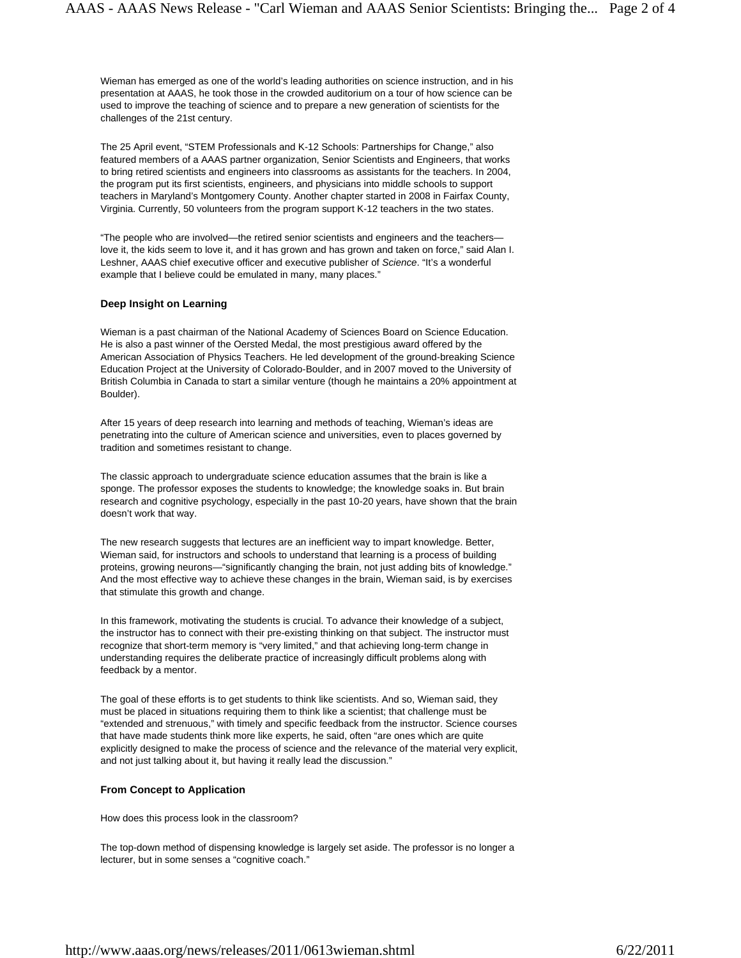Wieman has emerged as one of the world's leading authorities on science instruction, and in his presentation at AAAS, he took those in the crowded auditorium on a tour of how science can be used to improve the teaching of science and to prepare a new generation of scientists for the challenges of the 21st century.

The 25 April event, "STEM Professionals and K-12 Schools: Partnerships for Change," also featured members of a AAAS partner organization, Senior Scientists and Engineers, that works to bring retired scientists and engineers into classrooms as assistants for the teachers. In 2004, the program put its first scientists, engineers, and physicians into middle schools to support teachers in Maryland's Montgomery County. Another chapter started in 2008 in Fairfax County, Virginia. Currently, 50 volunteers from the program support K-12 teachers in the two states.

"The people who are involved—the retired senior scientists and engineers and the teachers love it, the kids seem to love it, and it has grown and has grown and taken on force," said Alan I. Leshner, AAAS chief executive officer and executive publisher of *Science*. "It's a wonderful example that I believe could be emulated in many, many places."

#### **Deep Insight on Learning**

Wieman is a past chairman of the National Academy of Sciences Board on Science Education. He is also a past winner of the Oersted Medal, the most prestigious award offered by the American Association of Physics Teachers. He led development of the ground-breaking Science Education Project at the University of Colorado-Boulder, and in 2007 moved to the University of British Columbia in Canada to start a similar venture (though he maintains a 20% appointment at Boulder).

After 15 years of deep research into learning and methods of teaching, Wieman's ideas are penetrating into the culture of American science and universities, even to places governed by tradition and sometimes resistant to change.

The classic approach to undergraduate science education assumes that the brain is like a sponge. The professor exposes the students to knowledge; the knowledge soaks in. But brain research and cognitive psychology, especially in the past 10-20 years, have shown that the brain doesn't work that way.

The new research suggests that lectures are an inefficient way to impart knowledge. Better, Wieman said, for instructors and schools to understand that learning is a process of building proteins, growing neurons—"significantly changing the brain, not just adding bits of knowledge." And the most effective way to achieve these changes in the brain, Wieman said, is by exercises that stimulate this growth and change.

In this framework, motivating the students is crucial. To advance their knowledge of a subject, the instructor has to connect with their pre-existing thinking on that subject. The instructor must recognize that short-term memory is "very limited," and that achieving long-term change in understanding requires the deliberate practice of increasingly difficult problems along with feedback by a mentor.

The goal of these efforts is to get students to think like scientists. And so, Wieman said, they must be placed in situations requiring them to think like a scientist; that challenge must be "extended and strenuous," with timely and specific feedback from the instructor. Science courses that have made students think more like experts, he said, often "are ones which are quite explicitly designed to make the process of science and the relevance of the material very explicit, and not just talking about it, but having it really lead the discussion."

### **From Concept to Application**

How does this process look in the classroom?

The top-down method of dispensing knowledge is largely set aside. The professor is no longer a lecturer, but in some senses a "cognitive coach."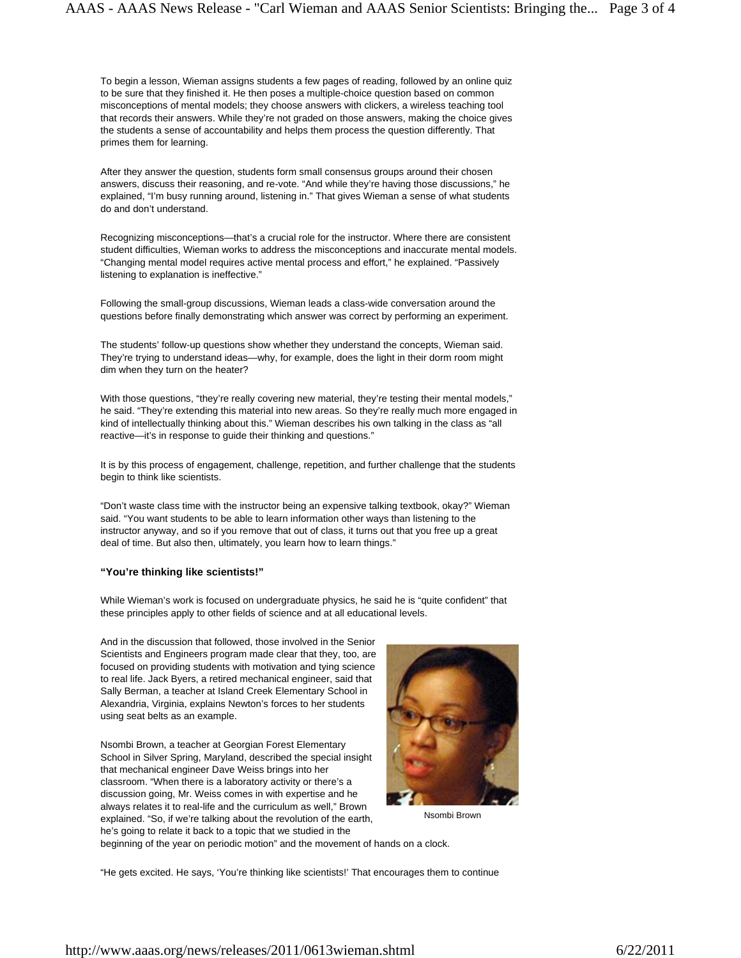To begin a lesson, Wieman assigns students a few pages of reading, followed by an online quiz to be sure that they finished it. He then poses a multiple-choice question based on common misconceptions of mental models; they choose answers with clickers, a wireless teaching tool that records their answers. While they're not graded on those answers, making the choice gives the students a sense of accountability and helps them process the question differently. That primes them for learning.

After they answer the question, students form small consensus groups around their chosen answers, discuss their reasoning, and re-vote. "And while they're having those discussions," he explained, "I'm busy running around, listening in." That gives Wieman a sense of what students do and don't understand.

Recognizing misconceptions—that's a crucial role for the instructor. Where there are consistent student difficulties, Wieman works to address the misconceptions and inaccurate mental models. "Changing mental model requires active mental process and effort," he explained. "Passively listening to explanation is ineffective."

Following the small-group discussions, Wieman leads a class-wide conversation around the questions before finally demonstrating which answer was correct by performing an experiment.

The students' follow-up questions show whether they understand the concepts, Wieman said. They're trying to understand ideas—why, for example, does the light in their dorm room might dim when they turn on the heater?

With those questions, "they're really covering new material, they're testing their mental models," he said. "They're extending this material into new areas. So they're really much more engaged in kind of intellectually thinking about this." Wieman describes his own talking in the class as "all reactive—it's in response to guide their thinking and questions."

It is by this process of engagement, challenge, repetition, and further challenge that the students begin to think like scientists.

"Don't waste class time with the instructor being an expensive talking textbook, okay?" Wieman said. "You want students to be able to learn information other ways than listening to the instructor anyway, and so if you remove that out of class, it turns out that you free up a great deal of time. But also then, ultimately, you learn how to learn things."

## **"You're thinking like scientists!"**

While Wieman's work is focused on undergraduate physics, he said he is "quite confident" that these principles apply to other fields of science and at all educational levels.

And in the discussion that followed, those involved in the Senior Scientists and Engineers program made clear that they, too, are focused on providing students with motivation and tying science to real life. Jack Byers, a retired mechanical engineer, said that Sally Berman, a teacher at Island Creek Elementary School in Alexandria, Virginia, explains Newton's forces to her students using seat belts as an example.

Nsombi Brown, a teacher at Georgian Forest Elementary School in Silver Spring, Maryland, described the special insight that mechanical engineer Dave Weiss brings into her classroom. "When there is a laboratory activity or there's a discussion going, Mr. Weiss comes in with expertise and he always relates it to real-life and the curriculum as well," Brown explained. "So, if we're talking about the revolution of the earth, he's going to relate it back to a topic that we studied in the beginning of the year on periodic motion" and the movement of hands on a clock.



Nsombi Brown

"He gets excited. He says, 'You're thinking like scientists!' That encourages them to continue